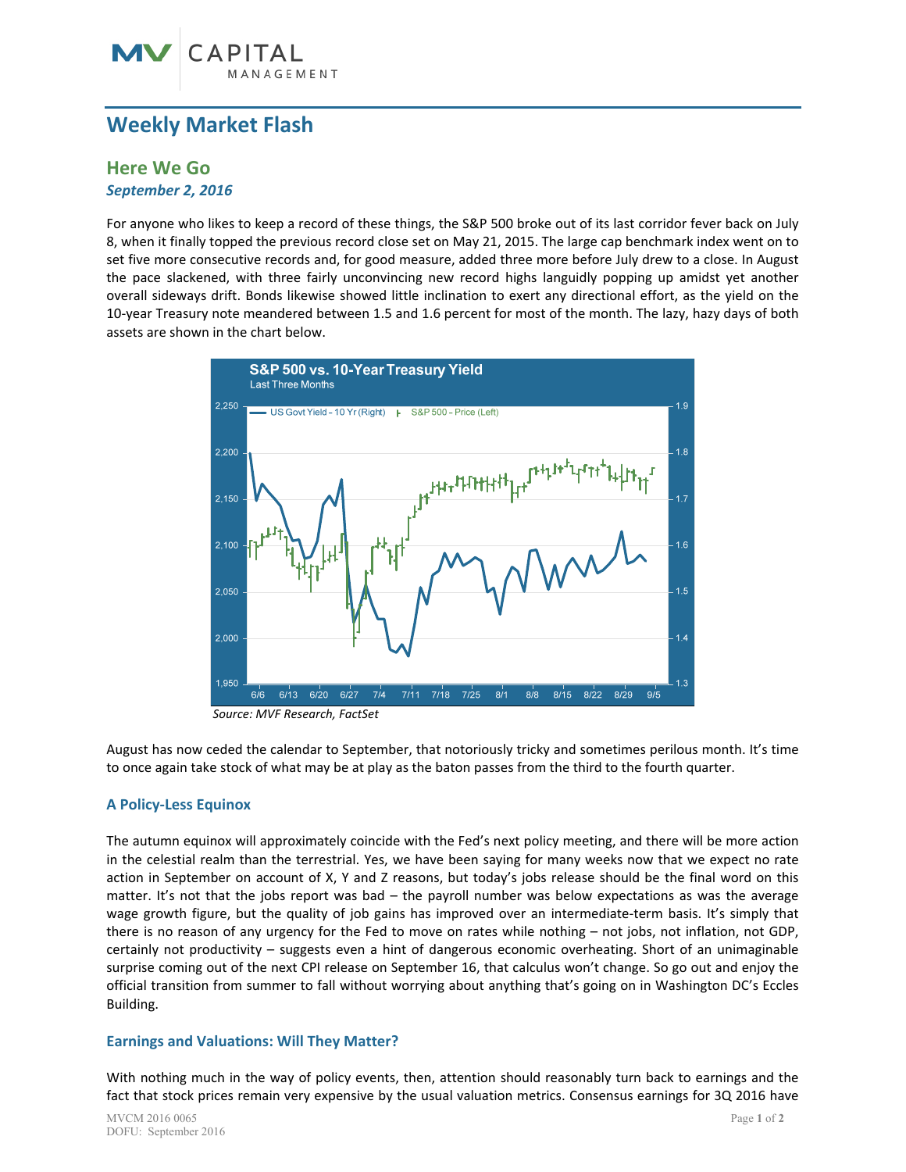# **Weekly Market Flash**

## **Here We Go**  *September 2, 2016*

For anyone who likes to keep a record of these things, the S&P 500 broke out of its last corridor fever back on July 8, when it finally topped the previous record close set on May 21, 2015. The large cap benchmark index went on to set five more consecutive records and, for good measure, added three more before July drew to a close. In August the pace slackened, with three fairly unconvincing new record highs languidly popping up amidst yet another overall sideways drift. Bonds likewise showed little inclination to exert any directional effort, as the yield on the 10‐year Treasury note meandered between 1.5 and 1.6 percent for most of the month. The lazy, hazy days of both assets are shown in the chart below.



*Source: MVF Research, FactSet* 

August has now ceded the calendar to September, that notoriously tricky and sometimes perilous month. It's time to once again take stock of what may be at play as the baton passes from the third to the fourth quarter.

### **A Policy‐Less Equinox**

The autumn equinox will approximately coincide with the Fed's next policy meeting, and there will be more action in the celestial realm than the terrestrial. Yes, we have been saying for many weeks now that we expect no rate action in September on account of X, Y and Z reasons, but today's jobs release should be the final word on this matter. It's not that the jobs report was  $bad$  – the payroll number was below expectations as was the average wage growth figure, but the quality of job gains has improved over an intermediate-term basis. It's simply that there is no reason of any urgency for the Fed to move on rates while nothing – not jobs, not inflation, not GDP, certainly not productivity – suggests even a hint of dangerous economic overheating. Short of an unimaginable surprise coming out of the next CPI release on September 16, that calculus won't change. So go out and enjoy the official transition from summer to fall without worrying about anything that's going on in Washington DC's Eccles Building.

### **Earnings and Valuations: Will They Matter?**

With nothing much in the way of policy events, then, attention should reasonably turn back to earnings and the fact that stock prices remain very expensive by the usual valuation metrics. Consensus earnings for 3Q 2016 have